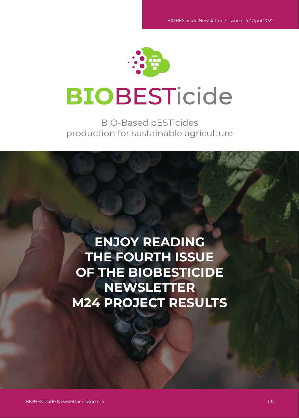

# **BIOBESTicide**

BIO-Based pESTicides production for sustainable agriculture

**ENJOY READING THE FOURTH ISSUE OF THE BIOBESTICIDE NEWSLETTER M24 PROJECT RESULTS**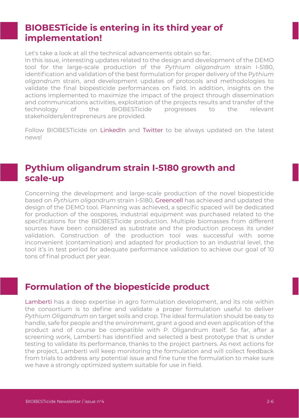#### **BIOBESTicide is entering in its third year of implementation!**

Let's take a look at all the technical advancements obtain so far.

In this issue, interesting updates related to the design and development of the DEMO tool for the large-scale production of the *Pythium oligandrum* strain I-5180, identification and validation of the best formulation for proper delivery of the P*ythium oligandrum* strain, and development updates of protocols and methodologies to validate the final biopesticide performances on field. In addition, insights on the actions implemented to maximize the impact of the project through dissemination and communications activities, exploitation of the projects results and transfer of the technology of the BIOBESTicide progresses to the relevant stakeholders/entrepreneurs are provided.

Follow BIOBESTicide on [LinkedIn](https://www.linkedin.com/company/biobesticide-project) and [Twitter](https://twitter.com/biobesticide) to be always updated on the latest news!

#### **Pythium oligandrum strain I-5180 growth and scale-up**

Concerning the development and large-scale production of the novel biopesticide based on *Pythium oligandrum* strain I-5180, [Greencell](http://www.greencell.tech/) has achieved and updated the design of the DEMO tool. Planning was achieved, a specific spaced will be dedicated for production of the oospores, industrial equipment was purchased related to the specifications for the BIOBESTicide production. Multiple biomasses from different sources have been considered as substrate and the production process its under validation. Construction of the production tool was successful with some inconvenient (contamination) and adapted for production to an industrial level, the tool it's in test period for adequate performance validation to achieve our goal of 10 tons of final product per year.

#### **Formulation of the biopesticide product**

[Lamberti](http://www.lamberti.com/) has a deep expertise in agro formulation development, and its role within the consortium is to define and validate a proper formulation useful to deliver *Pythium Oligandrum* on target soils and crop. The ideal formulation should be easy to handle, safe for people and the environment, grant a good and even application of the product and of course be compatible with P. Oligandrum itself. So far, after a screening work, Lamberti has identified and selected a best prototype that is under testing to validate its performance, thanks to the project partners. As next actions for the project, Lamberti will keep monitoring the formulation and will collect feedback from trials to address any potential issue and fine tune the formulation to make sure we have a strongly optimized system suitable for use in field.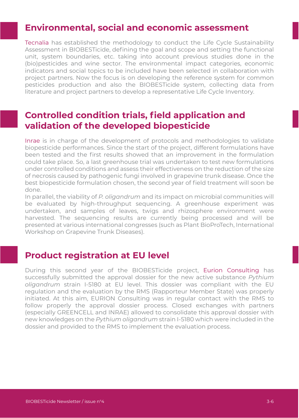#### **Environmental, social and economic assessment**

[Tecnalia](http://www.tecnalia.comen/) has established the methodology to conduct the Life Cycle Sustainability Assessment in BIOBESTicide, defining the goal and scope and setting the functional unit, system boundaries, etc. taking into account previous studies done in the (bio)pesticides and wine sector. The environmental impact categories, economic indicators and social topics to be included have been selected in collaboration with project partners. Now the focus is on developing the reference system for common pesticides production and also the BIOBESTicide system, collecting data from literature and project partners to develop a representative Life Cycle Inventory.

#### **Controlled condition trials, field application and validation of the developed biopesticide**

[Inrae](http://www.inrae.fr/) is in charge of the development of protocols and methodologies to validate biopesticide performances. Since the start of the project, different formulations have been tested and the first results showed that an improvement in the formulation could take place. So, a last greenhouse trial was undertaken to test new formulations under controlled conditions and assess their effectiveness on the reduction of the size of necrosis caused by pathogenic fungi involved in grapevine trunk disease. Once the best biopesticide formulation chosen, the second year of field treatment will soon be done.

In parallel, the viability of *P. oligandrum* and its impact on microbial communities will be evaluated by high-throughput sequencing. A greenhouse experiment was undertaken, and samples of leaves, twigs and rhizosphere environment were harvested. The sequencing results are currently being processed and will be presented at various international congresses (such as Plant BioProTech, International Workshop on Grapevine Trunk Diseases).

#### **Product registration at EU level**

During this second year of the BIOBESTicide project, [Eurion Consulting](http://www.eurion-consulting.com/) has successfully submitted the approval dossier for the new active substance *Pythium oligandrum* strain I-5180 at EU level. This dossier was compliant with the EU regulation and the evaluation by the RMS (Rapporteur Member State) was properly initiated. At this aim, EURION Consulting was in regular contact with the RMS to follow properly the approval dossier process. Closed exchanges with partners (especially GREENCELL and INRAE) allowed to consolidate this approval dossier with new knowledges on the *Pythium oligandrum* strain I-5180 which were included in the dossier and provided to the RMS to implement the evaluation process.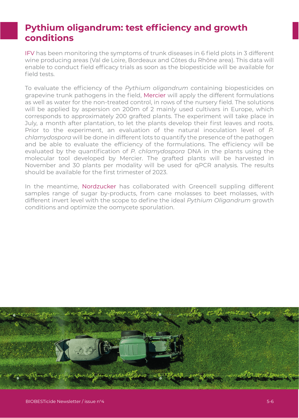### **Pythium oligandrum: test efficiency and growth conditions**

IFV has been monitoring the symptoms of trunk diseases in 6 field plots in 3 different wine producing areas (Val de Loire, Bordeaux and Côtes du Rhône area). This data will enable to conduct field efficacy trials as soon as the biopesticide will be available for field tests.

To evaluate the efficiency of the *Pythium oligandrum* containing biopesticides on grapevine trunk pathogens in the field, Mercier will apply the different formulations as well as water for the non-treated control, in rows of the nursery field. The solutions will be applied by aspersion on 200m of 2 mainly used cultivars in Europe, which corresponds to approximately 200 grafted plants. The experiment will take place in July, a month after plantation, to let the plants develop their first leaves and roots. Prior to the experiment, an evaluation of the natural inoculation level of *P. chlamydospora* will be done in different lots to quantify the presence of the pathogen and be able to evaluate the efficiency of the formulations. The efficiency will be evaluated by the quantification of *P. chlamydospora* DNA in the plants using the molecular tool developed by Mercier. The grafted plants will be harvested in November and 30 plants per modality will be used for qPCR analysis. The results should be available for the first trimester of 2023.

In the meantime, Nordzucker has collaborated with Greencell suppling different samples range of sugar by-products, from cane molasses to beet molasses, with different invert level with the scope to define the ideal *Pythium Oligandrum* growth conditions and optimize the oomycete sporulation.